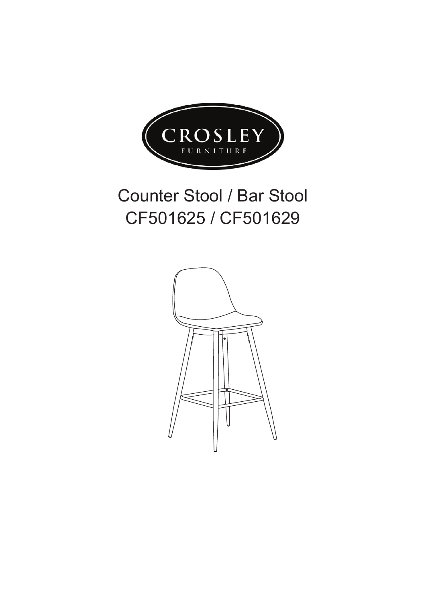

## Counter Stool / Bar Stool CF501625 / CF501629

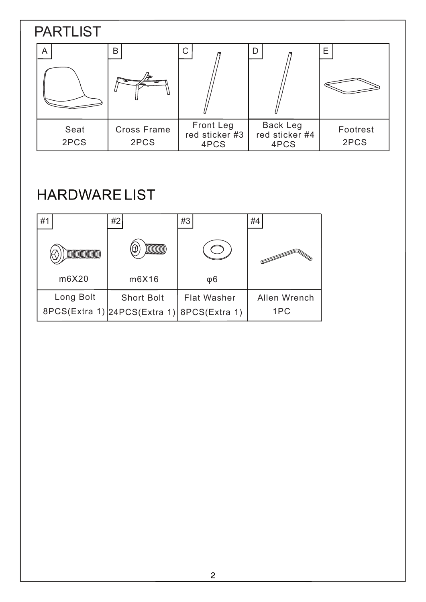## 2PCS Seat Cross Frame Front Leg<br>red sticker #3 A | B | C | R | D 2PCS PARTLIST 4PCS Back Leg red sticker #4 4PCS Footrest E 2PCS

## **HARDWARELIST**

| #1        | #2                                         | #3                 | #4           |
|-----------|--------------------------------------------|--------------------|--------------|
|           |                                            |                    |              |
| m6X20     | m6X16                                      | φ6                 |              |
| Long Bolt | <b>Short Bolt</b>                          | <b>Flat Washer</b> | Allen Wrench |
|           | 8PCS(Extra 1) 24PCS(Extra 1) 8PCS(Extra 1) |                    | 1PC          |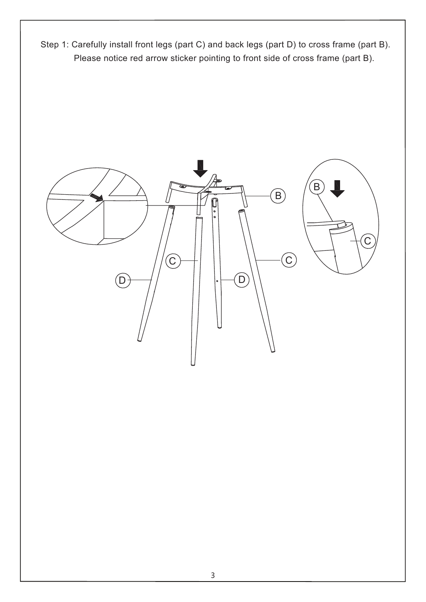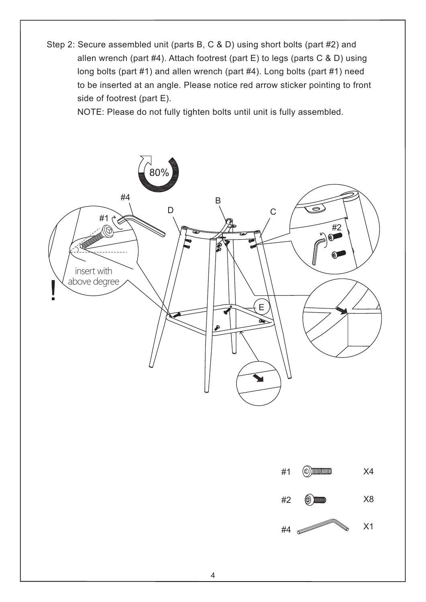Step 2: Secure assembled unit (parts B, C & D) using short bolts (part #2) and allen wrench (part #4). Attach footrest (part E) to legs (parts C & D) using long bolts (part #1) and allen wrench (part #4). Long bolts (part #1) need to be inserted at an angle. Please notice red arrow sticker pointing to front side of footrest (part E).

NOTE: Please do not fully tighten bolts until unit is fully assembled.

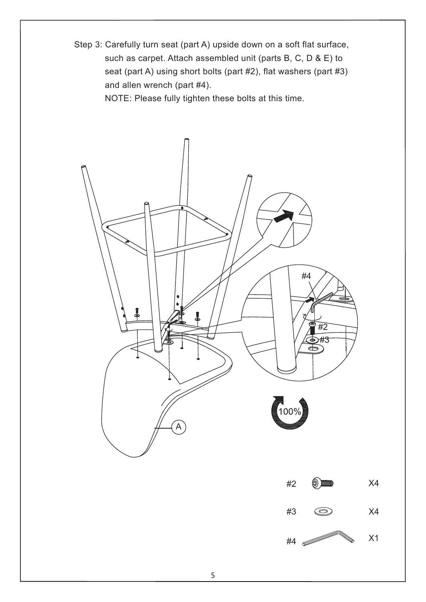Step 3: Carefully turn seat (part A) upside down on a soft flat surface, such as carpet. Attach assembled unit (parts B, C, D & E) to seat (part A) using short bolts (part #2), flat washers (part #3) and allen wrench (part #4).

NOTE: Please fully tighten these bolts at this time.